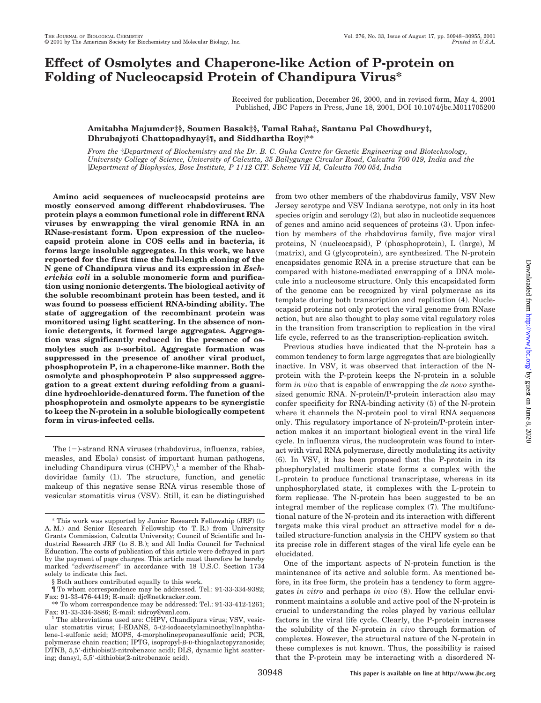# **Effect of Osmolytes and Chaperone-like Action of P-protein on Folding of Nucleocapsid Protein of Chandipura Virus\***

Received for publication, December 26, 2000, and in revised form, May 4, 2001 Published, JBC Papers in Press, June 18, 2001, DOI 10.1074/jbc.M011705200

### **Amitabha Majumder‡§, Soumen Basak‡§, Tamal Raha‡, Santanu Pal Chowdhury‡, Dhrubajyoti Chattopadhyay‡¶, and Siddhartha Roy\*\***

*From the* ‡*Department of Biochemistry and the Dr. B. C. Guha Centre for Genetic Engineering and Biotechnology, University College of Science, University of Calcutta, 35 Ballygunge Circular Road, Calcutta 700 019, India and the Department of Biophysics, Bose Institute, P 1/12 CIT. Scheme VII M, Calcutta 700 054, India*

**Amino acid sequences of nucleocapsid proteins are mostly conserved among different rhabdoviruses. The protein plays a common functional role in different RNA viruses by enwrapping the viral genomic RNA in an RNase-resistant form. Upon expression of the nucleocapsid protein alone in COS cells and in bacteria, it forms large insoluble aggregates. In this work, we have reported for the first time the full-length cloning of the N gene of Chandipura virus and its expression in** *Escherichia coli* **in a soluble monomeric form and purification using nonionic detergents. The biological activity of the soluble recombinant protein has been tested, and it was found to possess efficient RNA-binding ability. The state of aggregation of the recombinant protein was monitored using light scattering. In the absence of nonionic detergents, it formed large aggregates. Aggregation was significantly reduced in the presence of osmolytes such as D-sorbitol. Aggregate formation was suppressed in the presence of another viral product, phosphoprotein P, in a chaperone-like manner. Both the osmolyte and phosphoprotein P also suppressed aggregation to a great extent during refolding from a guanidine hydrochloride-denatured form. The function of the phosphoprotein and osmolyte appears to be synergistic to keep the N-protein in a soluble biologically competent form in virus-infected cells.**

The  $(-)$ -strand RNA viruses (rhabdovirus, influenza, rabies, measles, and Ebola) consist of important human pathogens, including Chandipura virus  $\text{(CHPV)},^1$  a member of the Rhabdoviridae family (1). The structure, function, and genetic makeup of this negative sense RNA virus resemble those of vesicular stomatitis virus (VSV). Still, it can be distinguished

from two other members of the rhabdovirus family, VSV New Jersey serotype and VSV Indiana serotype, not only in its host species origin and serology (2), but also in nucleotide sequences of genes and amino acid sequences of proteins (3). Upon infection by members of the rhabdovirus family, five major viral proteins, N (nucleocapsid), P (phosphoprotein), L (large), M (matrix), and G (glycoprotein), are synthesized. The N-protein encapsidates genomic RNA in a precise structure that can be compared with histone-mediated enwrapping of a DNA molecule into a nucleosome structure. Only this encapsidated form of the genome can be recognized by viral polymerase as its template during both transcription and replication (4). Nucleocapsid proteins not only protect the viral genome from RNase action, but are also thought to play some vital regulatory roles in the transition from transcription to replication in the viral life cycle, referred to as the transcription-replication switch.

Previous studies have indicated that the N-protein has a common tendency to form large aggregates that are biologically inactive. In VSV, it was observed that interaction of the Nprotein with the P-protein keeps the N-protein in a soluble form *in vivo* that is capable of enwrapping the *de novo* synthesized genomic RNA. N-protein/P-protein interaction also may confer specificity for RNA-binding activity (5) of the N-protein where it channels the N-protein pool to viral RNA sequences only. This regulatory importance of N-protein/P-protein interaction makes it an important biological event in the viral life cycle. In influenza virus, the nucleoprotein was found to interact with viral RNA polymerase, directly modulating its activity (6). In VSV, it has been proposed that the P-protein in its phosphorylated multimeric state forms a complex with the L-protein to produce functional transcriptase, whereas in its unphosphorylated state, it complexes with the L-protein to form replicase. The N-protein has been suggested to be an integral member of the replicase complex (7). The multifunctional nature of the N-protein and its interaction with different targets make this viral product an attractive model for a detailed structure-function analysis in the CHPV system so that its precise role in different stages of the viral life cycle can be elucidated.

One of the important aspects of N-protein function is the maintenance of its active and soluble form. As mentioned before, in its free form, the protein has a tendency to form aggregates *in vitro* and perhaps *in vivo* (8). How the cellular environment maintains a soluble and active pool of the N-protein is crucial to understanding the roles played by various cellular factors in the viral life cycle. Clearly, the P-protein increases the solubility of the N-protein *in vivo* through formation of complexes. However, the structural nature of the N-protein in these complexes is not known. Thus, the possibility is raised that the P-protein may be interacting with a disordered N-

<sup>\*</sup> This work was supported by Junior Research Fellowship (JRF) (to A. M.) and Senior Research Fellowship (to T. R.) from University Grants Commission, Calcutta University; Council of Scientific and Industrial Research JRF (to S. B.); and All India Council for Technical Education. The costs of publication of this article were defrayed in part by the payment of page charges. This article must therefore be hereby marked "*advertisement*" in accordance with 18 U.S.C. Section 1734 solely to indicate this fact.

<sup>§</sup> Both authors contributed equally to this work.

<sup>¶</sup> To whom correspondence may be addressed. Tel.: 91-33-334-9382; Fax: 91-33-476-4419; E-mail: djc@netkracker.com.

<sup>\*\*</sup> To whom correspondence may be addressed: Tel.: 91-33-412-1261; Fax: 91-33-334-3886; E-mail: sidroy@vsnl.com.<br><sup>1</sup> The abbreviations used are: CHPV, Chandipura virus; VSV, vesic-

ular stomatitis virus; I-EDANS, 5-(2-iodoacetylaminoethyl)naphthalene-1-sulfonic acid; MOPS, 4-morpholinepropanesulfonic acid; PCR, polymerase chain reaction; IPTG, isopropyl- $\beta$ -D-thiogalactopyranoside; DTNB, 5,5--dithiobis(2-nitrobenzoic acid); DLS, dynamic light scattering; dansyl, 5,5--dithiobis(2-nitrobenzoic acid).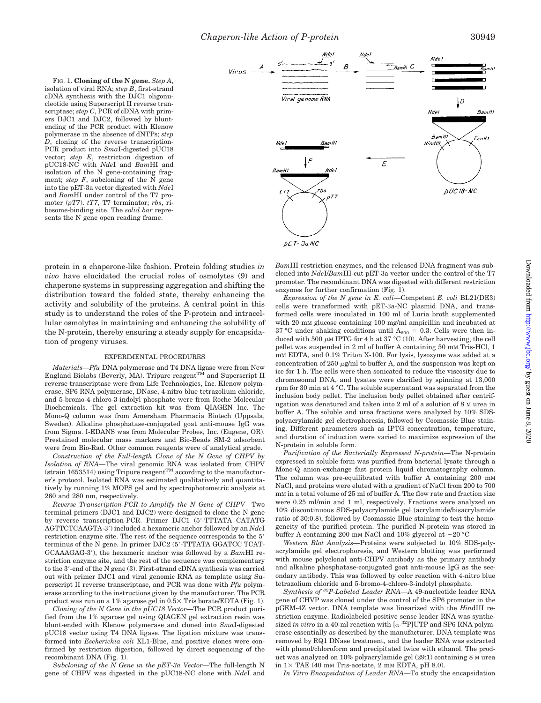FIG. 1. **Cloning of the N gene.** *Step A*, isolation of viral RNA; *step B*, first-strand cDNA synthesis with the DJC1 oligonucleotide using Superscript II reverse transcriptase; *step C*, PCR of cDNA with primers DJC1 and DJC2, followed by bluntending of the PCR product with Klenow polymerase in the absence of dNTPs; *step D*, cloning of the reverse transcription-PCR product into *Sma*I-digested pUC18 vector; *step E*, restriction digestion of pUC18-NC with *Nde*I and *Bam*HI and isolation of the N gene-containing fragment; *step F*, subcloning of the N gene into the pET-3a vector digested with *Nde*I and *Bam*HI under control of the T7 promoter (*pT7*). *tT7*, T7 terminator; *rbs*, ribosome-binding site. The *solid bar* represents the N gene open reading frame.



protein in a chaperone-like fashion. Protein folding studies *in vivo* have elucidated the crucial roles of osmolytes (9) and chaperone systems in suppressing aggregation and shifting the distribution toward the folded state, thereby enhancing the activity and solubility of the proteins. A central point in this study is to understand the roles of the P-protein and intracellular osmolytes in maintaining and enhancing the solubility of the N-protein, thereby ensuring a steady supply for encapsidation of progeny viruses.

#### EXPERIMENTAL PROCEDURES

*Materials—Pfu* DNA polymerase and T4 DNA ligase were from New England Biolabs (Beverly, MA). Tripure reagent<sup>TM</sup> and Superscript II reverse transcriptase were from Life Technologies, Inc. Klenow polymerase, SP6 RNA polymerase, DNase, 4-nitro blue tetrazolium chloride, and 5-bromo-4-chloro-3-indolyl phosphate were from Roche Molecular Biochemicals. The gel extraction kit was from QIAGEN Inc. The Mono-Q column was from Amersham Pharmacia Biotech (Uppsala, Sweden). Alkaline phosphatase-conjugated goat anti-mouse IgG was from Sigma. I-EDANS was from Molecular Probes, Inc. (Eugene, OR). Prestained molecular mass markers and Bio-Beads SM-2 adsorbent were from Bio-Rad. Other common reagents were of analytical grade.

*Construction of the Full-length Clone of the N Gene of CHPV by Isolation of RNA—*The viral genomic RNA was isolated from CHPV  $(\text{strain } 1653514)$  using Tripure reagent<sup>TM</sup> according to the manufacturer's protocol. Isolated RNA was estimated qualitatively and quantitatively by running 1% MOPS gel and by spectrophotometric analysis at 260 and 280 nm, respectively.

*Reverse Transcription-PCR to Amplify the N Gene of CHPV—*Two terminal primers (DJC1 and DJC2) were designed to clone the N gene by reverse transcription-PCR. Primer DJC1 (5'-TTTATA CATATG AGTTCTCAAGTA-3') included a hexameric anchor followed by an *Nde*I restriction enzyme site. The rest of the sequence corresponds to the 5<sup>'</sup> terminus of the N gene. In primer DJC2 (5'-TTTATA GGATCC TCAT-GCAAAGAG-3'), the hexameric anchor was followed by a *BamHI* restriction enzyme site, and the rest of the sequence was complementary to the 3'-end of the N gene (3). First-strand cDNA synthesis was carried out with primer DJC1 and viral genomic RNA as template using Superscript II reverse transcriptase, and PCR was done with *Pfu* polymerase according to the instructions given by the manufacturer. The PCR product was run on a 1% agarose gel in  $0.5 \times$  Tris borate/EDTA (Fig. 1).

*Cloning of the N Gene in the pUC18 Vector—*The PCR product purified from the 1% agarose gel using QIAGEN gel extraction resin was blunt-ended with Klenow polymerase and cloned into *Sma*I-digested pUC18 vector using T4 DNA ligase. The ligation mixture was transformed into *Escherichia coli* XL1-Blue, and positive clones were confirmed by restriction digestion, followed by direct sequencing of the recombinant DNA (Fig. 1).

*Subcloning of the N Gene in the pET-3a Vector—*The full-length N gene of CHPV was digested in the pUC18-NC clone with *Nde*I and *Bam*HI restriction enzymes, and the released DNA fragment was subcloned into *Nde*I/*Bam*HI-cut pET-3a vector under the control of the T7 promoter. The recombinant DNA was digested with different restriction enzymes for further confirmation (Fig. 1).

*Expression of the N gene in E. coli—*Competent *E. coli* BL21(DE3) cells were transformed with pET-3a-NC plasmid DNA, and transformed cells were inoculated in 100 ml of Luria broth supplemented with 20 mM glucose containing 100 mg/ml ampicillin and incubated at 37 °C under shaking conditions until  $A_{600} = 0.3$ . Cells were then induced with 500  $\mu$ M IPTG for 4 h at 37 °C (10). After harvesting, the cell pellet was suspended in 2 ml of buffer A containing 50 mM Tris-HCl, 1 mM EDTA, and 0.1% Triton X-100. For lysis, lysozyme was added at a concentration of 250  $\mu$ g/ml to buffer A, and the suspension was kept on ice for 1 h. The cells were then sonicated to reduce the viscosity due to chromosomal DNA, and lysates were clarified by spinning at 13,000 rpm for 30 min at 4 °C. The soluble supernatant was separated from the inclusion body pellet. The inclusion body pellet obtained after centrifugation was denatured and taken into 2 ml of a solution of 8 M urea in buffer A. The soluble and urea fractions were analyzed by 10% SDSpolyacrylamide gel electrophoresis, followed by Coomassie Blue staining. Different parameters such as IPTG concentration, temperature, and duration of induction were varied to maximize expression of the N-protein in soluble form.

*Purification of the Bacterially Expressed N-protein—*The N-protein expressed in soluble form was purified from bacterial lysate through a Mono-Q anion-exchange fast protein liquid chromatography column. The column was pre-equilibrated with buffer A containing 200 mM NaCl, and proteins were eluted with a gradient of NaCl from 200 to 700 mM in a total volume of 25 ml of buffer A. The flow rate and fraction size were 0.25 ml/min and 1 ml, respectively. Fractions were analyzed on 10% discontinuous SDS-polyacrylamide gel (acrylamide/bisacrylamide ratio of 30:0.8), followed by Coomassie Blue staining to test the homogeneity of the purified protein. The purified N-protein was stored in buffer A containing 200 mm NaCl and 10% glycerol at  $-20$  °C

*Western Blot Analysis—*Proteins were subjected to 10% SDS-polyacrylamide gel electrophoresis, and Western blotting was performed with mouse polyclonal anti-CHPV antibody as the primary antibody and alkaline phosphatase-conjugated goat anti-mouse IgG as the secondary antibody. This was followed by color reaction with 4-nitro blue tetrazolium chloride and 5-bromo-4-chloro-3-indolyl phosphate.

*Synthesis of 32P-Labeled Leader RNA—*A 49-nucleotide leader RNA gene of CHVP was cloned under the control of the SP6 promoter in the pGEM-4Z vector. DNA template was linearized with the *Hin*dIII restriction enzyme. Radiolabeled positive sense leader RNA was synthesized *in vitro* in a 40-ml reaction with  $[\alpha^{-32}P]$ UTP and SP6 RNA polymerase essentially as described by the manufacturer. DNA template was removed by RQ1 DNase treatment, and the leader RNA was extracted with phenol/chloroform and precipitated twice with ethanol. The product was analyzed on 10% polyacrylamide gel (29:1) containing 8 M urea in  $1 \times$  TAE (40 mm Tris-acetate, 2 mm EDTA, pH 8.0).

*In Vitro Encapsidation of Leader RNA—*To study the encapsidation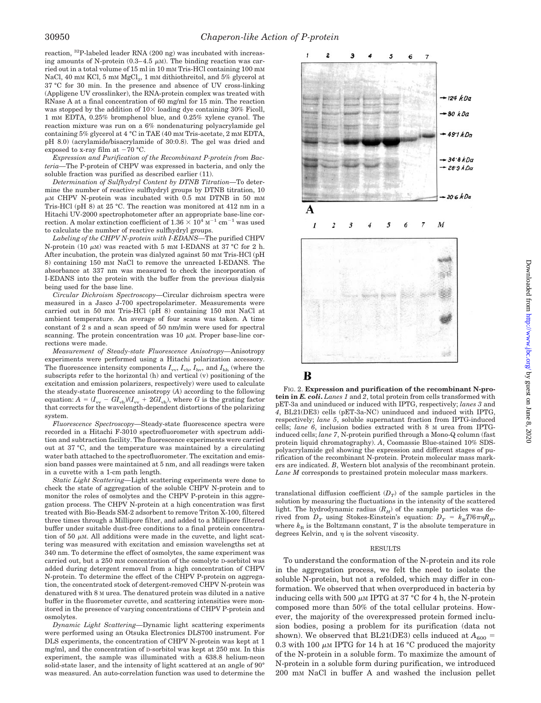reaction, 32P-labeled leader RNA (200 ng) was incubated with increasing amounts of N-protein  $(0.3-4.5 \mu M)$ . The binding reaction was carried out in a total volume of 15 ml in 10 mM Tris-HCl containing 100 mM NaCl, 40 mM KCl, 5 mM  $MgCl<sub>2</sub>$ , 1 mM dithiothreitol, and 5% glycerol at 37 °C for 30 min. In the presence and absence of UV cross-linking (Appligene UV crosslinker), the RNA-protein complex was treated with RNase A at a final concentration of 60 mg/ml for 15 min. The reaction was stopped by the addition of  $10\times$  loading dye containing 30% Ficoll, 1 mM EDTA, 0.25% bromphenol blue, and 0.25% xylene cyanol. The reaction mixture was run on a 6% nondenaturing polyacrylamide gel containing 5% glycerol at 4 °C in TAE (40 mM Tris-acetate, 2 mM EDTA, pH 8.0) (acrylamide/bisacrylamide of 30:0.8). The gel was dried and exposed to x-ray film at  $-70$  °C.

*Expression and Purification of the Recombinant P-protein from Bacteria—*The P-protein of CHPV was expressed in bacteria, and only the soluble fraction was purified as described earlier (11).

*Determination of Sulfhydryl Content by DTNB Titration—*To determine the number of reactive sulfhydryl groups by DTNB titration, 10  $\mu$ M CHPV N-protein was incubated with 0.5 mM DTNB in 50 mM Tris-HCl (pH 8) at 25 °C. The reaction was monitored at 412 nm in a Hitachi UV-2000 spectrophotometer after an appropriate base-line correction. A molar extinction coefficient of  $1.36 \times 10^4$   $\text{M}^{-1}$  cm $^{-1}$  was used to calculate the number of reactive sulfhydryl groups.

*Labeling of the CHPV N-protein with I-EDANS—*The purified CHPV N-protein (10  $\mu$ m) was reacted with 5 mm I-EDANS at 37 °C for 2 h. After incubation, the protein was dialyzed against 50 mM Tris-HCl (pH 8) containing 150 mM NaCl to remove the unreacted I-EDANS. The absorbance at 337 nm was measured to check the incorporation of I-EDANS into the protein with the buffer from the previous dialysis being used for the base line.

*Circular Dichroism Spectroscopy—*Circular dichroism spectra were measured in a Jasco J-700 spectropolarimeter. Measurements were carried out in 50 mM Tris-HCl (pH 8) containing 150 mM NaCl at ambient temperature. An average of four scans was taken. A time constant of 2 s and a scan speed of 50 nm/min were used for spectral scanning. The protein concentration was  $10 \mu$ M. Proper base-line corrections were made.

*Measurement of Steady-state Fluorescence Anisotropy—*Anisotropy experiments were performed using a Hitachi polarization accessory. The fluorescence intensity components  $I_{vv}$ ,  $I_{vh}$ ,  $I_{hv}$ , and  $I_{hh}$  (where the subscripts refer to the horizontal (h) and vertical (v) positioning of the excitation and emission polarizers, respectively) were used to calculate the steady-state fluorescence anisotropy (*A*) according to the following equation:  $A = (I_{vv} - GI_{vh})/(I_{vv} + 2GI_{vh})$ , where *G* is the grating factor that corrects for the wavelength-dependent distortions of the polarizing system.

*Fluorescence Spectroscopy—*Steady-state fluorescence spectra were recorded in a Hitachi F-3010 spectrofluorometer with spectrum addition and subtraction facility. The fluorescence experiments were carried out at 37 °C, and the temperature was maintained by a circulating water bath attached to the spectrofluorometer. The excitation and emission band passes were maintained at 5 nm, and all readings were taken in a cuvette with a 1-cm path length.

*Static Light Scattering—*Light scattering experiments were done to check the state of aggregation of the soluble CHPV N-protein and to monitor the roles of osmolytes and the CHPV P-protein in this aggregation process. The CHPV N-protein at a high concentration was first treated with Bio-Beads SM-2 adsorbent to remove Triton X-100, filtered three times through a Millipore filter, and added to a Millipore filtered buffer under suitable dust-free conditions to a final protein concentration of 50  $\mu$ m. All additions were made in the cuvette, and light scattering was measured with excitation and emission wavelengths set at 340 nm. To determine the effect of osmolytes, the same experiment was carried out, but a 250 mM concentration of the osmolyte D-sorbitol was added during detergent removal from a high concentration of CHPV N-protein. To determine the effect of the CHPV P-protein on aggregation, the concentrated stock of detergent-removed CHPV N-protein was denatured with 8 M urea. The denatured protein was diluted in a native buffer in the fluorometer cuvette, and scattering intensities were monitored in the presence of varying concentrations of CHPV P-protein and osmolytes.

*Dynamic Light Scattering—*Dynamic light scattering experiments were performed using an Otsuka Electronics DLS700 instrument. For DLS experiments, the concentration of CHPV N-protein was kept at 1 mg/ml, and the concentration of D-sorbitol was kept at 250 mM. In this experiment, the sample was illuminated with a 638.8 helium-neon solid-state laser, and the intensity of light scattered at an angle of 90° was measured. An auto-correlation function was used to determine the



### В

FIG. 2. **Expression and purification of the recombinant N-protein in** *E. coli***.** *Lanes 1* and *2*, total protein from cells transformed with pET-3a and uninduced or induced with IPTG, respectively; *lanes 3* and *4*, BL21(DE3) cells (pET-3a-NC) uninduced and induced with IPTG, respectively; *lane 5*, soluble supernatant fraction from IPTG-induced cells; *lane 6*, inclusion bodies extracted with 8 M urea from IPTGinduced cells; *lane 7*, N-protein purified through a Mono-Q column (fast protein liquid chromatography). *A*, Coomassie Blue-stained 10% SDSpolyacrylamide gel showing the expression and different stages of purification of the recombinant N-protein. Protein molecular mass markers are indicated. *B*, Western blot analysis of the recombinant protein. *Lane M* corresponds to prestained protein molecular mass markers.

translational diffusion coefficient  $(D_T)$  of the sample particles in the solution by measuring the fluctuations in the intensity of the scattered light. The hydrodynamic radius  $(R_H)$  of the sample particles was derived from  $D_T$  using Stokes-Einstein's equation:  $D_T = k_B T/6\pi\eta R_H$ , where  $k_B$  is the Boltzmann constant,  $T$  is the absolute temperature in degrees Kelvin, and  $\eta$  is the solvent viscosity.

#### RESULTS

To understand the conformation of the N-protein and its role in the aggregation process, we felt the need to isolate the soluble N-protein, but not a refolded, which may differ in conformation. We observed that when overproduced in bacteria by inducing cells with 500  $\mu$ m IPTG at 37 °C for 4 h, the N-protein composed more than 50% of the total cellular proteins. However, the majority of the overexpressed protein formed inclusion bodies, posing a problem for its purification (data not shown). We observed that BL21(DE3) cells induced at  $A_{600}$  = 0.3 with 100  $\mu$ M IPTG for 14 h at 16 °C produced the majority of the N-protein in a soluble form. To maximize the amount of N-protein in a soluble form during purification, we introduced 200 mM NaCl in buffer A and washed the inclusion pellet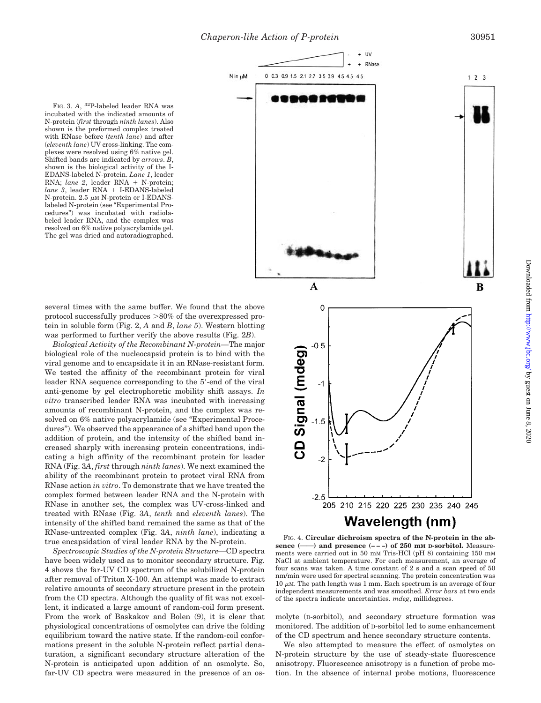N in µM

FIG. 3. A, <sup>32</sup>P-labeled leader RNA was incubated with the indicated amounts of N-protein (*first* through *ninth lanes*). Also shown is the preformed complex treated with RNase before (*tenth lane*) and after (*eleventh lane*) UV cross-linking. The complexes were resolved using 6% native gel. Shifted bands are indicated by *arrows*. *B*, shown is the biological activity of the I-EDANS-labeled N-protein. *Lane 1*, leader RNA; *lane 2*, leader RNA + N-protein; *lane 3*, leader RNA + I-EDANS-labeled  $N$ -protein. 2.5  $\mu$ M N-protein or I-EDANSlabeled N-protein (see "Experimental Procedures") was incubated with radiolabeled leader RNA, and the complex was resolved on 6% native polyacrylamide gel. The gel was dried and autoradiographed.

several times with the same buffer. We found that the above protocol successfully produces  $>80\%$  of the overexpressed protein in soluble form (Fig. 2, *A* and *B*, *lane 5*). Western blotting was performed to further verify the above results (Fig. 2*B*).

*Biological Activity of the Recombinant N-protein—*The major biological role of the nucleocapsid protein is to bind with the viral genome and to encapsidate it in an RNase-resistant form. We tested the affinity of the recombinant protein for viral leader RNA sequence corresponding to the 5'-end of the viral anti-genome by gel electrophoretic mobility shift assays. *In vitro* transcribed leader RNA was incubated with increasing amounts of recombinant N-protein, and the complex was resolved on 6% native polyacrylamide (see "Experimental Procedures"). We observed the appearance of a shifted band upon the addition of protein, and the intensity of the shifted band increased sharply with increasing protein concentrations, indicating a high affinity of the recombinant protein for leader RNA (Fig. 3*A*, *first* through *ninth lanes*). We next examined the ability of the recombinant protein to protect viral RNA from RNase action *in vitro*. To demonstrate that we have treated the complex formed between leader RNA and the N-protein with RNase in another set, the complex was UV-cross-linked and treated with RNase (Fig. 3*A*, *tenth* and *eleventh lanes*). The intensity of the shifted band remained the same as that of the RNase-untreated complex (Fig. 3*A*, *ninth lane*), indicating a true encapsidation of viral leader RNA by the N-protein.

*Spectroscopic Studies of the N-protein Structure—*CD spectra have been widely used as to monitor secondary structure. Fig. 4 shows the far-UV CD spectrum of the solubilized N-protein after removal of Triton X-100. An attempt was made to extract relative amounts of secondary structure present in the protein from the CD spectra. Although the quality of fit was not excellent, it indicated a large amount of random-coil form present. From the work of Baskakov and Bolen (9), it is clear that physiological concentrations of osmolytes can drive the folding equilibrium toward the native state. If the random-coil conformations present in the soluble N-protein reflect partial denaturation, a significant secondary structure alteration of the N-protein is anticipated upon addition of an osmolyte. So, far-UV CD spectra were measured in the presence of an os-



FIG. 4. **Circular dichroism spectra of the N-protein in the ab**sence (--) and presence (---) of 250 mm D-sorbitol. Measurements were carried out in 50 mM Tris-HCl (pH 8) containing 150 mM NaCl at ambient temperature. For each measurement, an average of four scans was taken. A time constant of 2 s and a scan speed of 50 nm/min were used for spectral scanning. The protein concentration was  $10 \mu$ M. The path length was 1 mm. Each spectrum is an average of four independent measurements and was smoothed. *Error bars* at two ends of the spectra indicate uncertainties. *mdeg*, millidegrees.

molyte (D-sorbitol), and secondary structure formation was monitored. The addition of D-sorbitol led to some enhancement of the CD spectrum and hence secondary structure contents.

We also attempted to measure the effect of osmolytes on N-protein structure by the use of steady-state fluorescence anisotropy. Fluorescence anisotropy is a function of probe motion. In the absence of internal probe motions, fluorescence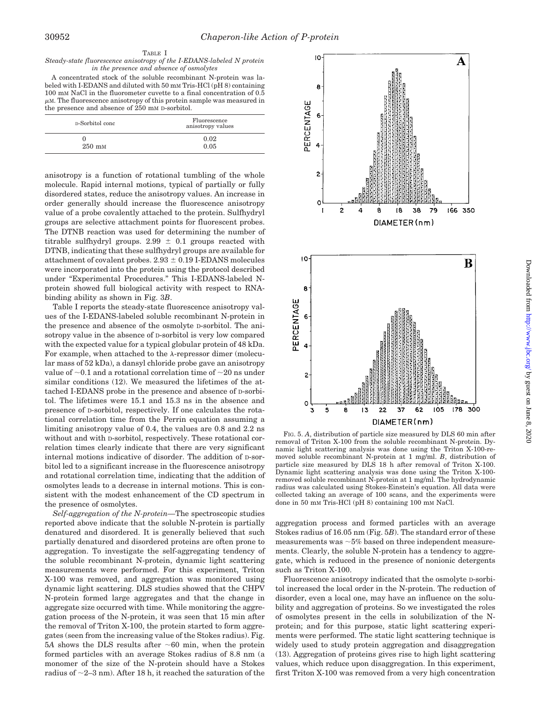#### TABLE I

#### *Steady-state fluorescence anisotropy of the I-EDANS-labeled N protein in the presence and absence of osmolytes*

A concentrated stock of the soluble recombinant N-protein was labeled with I-EDANS and diluted with 50 mM Tris-HCl (pH 8) containing 100 mM NaCl in the fluorometer cuvette to a final concentration of 0.5  $\mu$ M. The fluorescence anisotropy of this protein sample was measured in the presence and absence of 250 mM D-sorbitol.

| D-Sorbitol conc      | Fluorescence<br>anisotropy values |
|----------------------|-----------------------------------|
| $250$ m <sub>M</sub> | 0.02<br>0.05                      |

anisotropy is a function of rotational tumbling of the whole molecule. Rapid internal motions, typical of partially or fully disordered states, reduce the anisotropy values. An increase in order generally should increase the fluorescence anisotropy value of a probe covalently attached to the protein. Sulfhydryl groups are selective attachment points for fluorescent probes. The DTNB reaction was used for determining the number of titrable sulfhydryl groups. 2.99  $\pm$  0.1 groups reacted with DTNB, indicating that these sulfhydryl groups are available for attachment of covalent probes.  $2.93 \pm 0.19$  I-EDANS molecules were incorporated into the protein using the protocol described under "Experimental Procedures." This I-EDANS-labeled Nprotein showed full biological activity with respect to RNAbinding ability as shown in Fig. 3*B*.

Table I reports the steady-state fluorescence anisotropy values of the I-EDANS-labeled soluble recombinant N-protein in the presence and absence of the osmolyte D-sorbitol. The anisotropy value in the absence of D-sorbitol is very low compared with the expected value for a typical globular protein of 48 kDa. For example, when attached to the  $\lambda$ -repressor dimer (molecular mass of 52 kDa), a dansyl chloride probe gave an anisotropy value of  $\sim$  0.1 and a rotational correlation time of  $\sim$  20 ns under similar conditions (12). We measured the lifetimes of the attached I-EDANS probe in the presence and absence of D-sorbitol. The lifetimes were 15.1 and 15.3 ns in the absence and presence of D-sorbitol, respectively. If one calculates the rotational correlation time from the Perrin equation assuming a limiting anisotropy value of 0.4, the values are 0.8 and 2.2 ns without and with D-sorbitol, respectively. These rotational correlation times clearly indicate that there are very significant internal motions indicative of disorder. The addition of D-sorbitol led to a significant increase in the fluorescence anisotropy and rotational correlation time, indicating that the addition of osmolytes leads to a decrease in internal motions. This is consistent with the modest enhancement of the CD spectrum in the presence of osmolytes.

*Self-aggregation of the N-protein—*The spectroscopic studies reported above indicate that the soluble N-protein is partially denatured and disordered. It is generally believed that such partially denatured and disordered proteins are often prone to aggregation. To investigate the self-aggregating tendency of the soluble recombinant N-protein, dynamic light scattering measurements were performed. For this experiment, Triton X-100 was removed, and aggregation was monitored using dynamic light scattering. DLS studies showed that the CHPV N-protein formed large aggregates and that the change in aggregate size occurred with time. While monitoring the aggregation process of the N-protein, it was seen that 15 min after the removal of Triton X-100, the protein started to form aggregates (seen from the increasing value of the Stokes radius). Fig.  $5A$  shows the DLS results after  $\sim 60$  min, when the protein formed particles with an average Stokes radius of 8.8 nm (a monomer of the size of the N-protein should have a Stokes radius of  $\sim$ 2–3 nm). After 18 h, it reached the saturation of the



FIG. 5. *A*, distribution of particle size measured by DLS 60 min after removal of Triton X-100 from the soluble recombinant N-protein. Dynamic light scattering analysis was done using the Triton X-100-removed soluble recombinant N-protein at 1 mg/ml. *B*, distribution of particle size measured by DLS 18 h after removal of Triton X-100. Dynamic light scattering analysis was done using the Triton X-100 removed soluble recombinant N-protein at 1 mg/ml. The hydrodynamic radius was calculated using Stokes-Einstein's equation. All data were collected taking an average of 100 scans, and the experiments were done in 50 mM Tris-HCl (pH 8) containing 100 mM NaCl.

aggregation process and formed particles with an average Stokes radius of 16.05 nm (Fig. 5*B*). The standard error of these measurements was  $\sim$ 5% based on three independent measurements. Clearly, the soluble N-protein has a tendency to aggregate, which is reduced in the presence of nonionic detergents such as Triton X-100.

Fluorescence anisotropy indicated that the osmolyte D-sorbitol increased the local order in the N-protein. The reduction of disorder, even a local one, may have an influence on the solubility and aggregation of proteins. So we investigated the roles of osmolytes present in the cells in solubilization of the Nprotein; and for this purpose, static light scattering experiments were performed. The static light scattering technique is widely used to study protein aggregation and disaggregation (13). Aggregation of proteins gives rise to high light scattering values, which reduce upon disaggregation. In this experiment, first Triton X-100 was removed from a very high concentration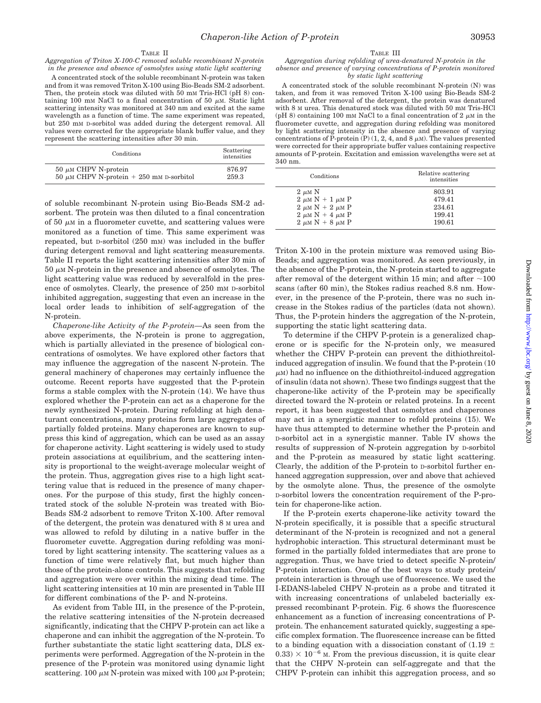#### TABLE II

*Aggregation of Triton X-100-C removed soluble recombinant N-protein in the presence and absence of osmolytes using static light scattering*

A concentrated stock of the soluble recombinant N-protein was taken and from it was removed Triton X-100 using Bio-Beads SM-2 adsorbent. Then, the protein stock was diluted with 50 mm Tris-HCl (pH 8) containing 100 mm NaCl to a final concentration of 50  $\mu$ m. Static light scattering intensity was monitored at 340 nm and excited at the same wavelength as a function of time. The same experiment was repeated, but 250 mM D-sorbitol was added during the detergent removal. All values were corrected for the appropriate blank buffer value, and they represent the scattering intensities after 30 min.

| Conditions                                    | Scattering<br>intensities |
|-----------------------------------------------|---------------------------|
| $50 \mu M$ CHPV N-protein                     | 876.97                    |
| 50 $\mu$ M CHPV N-protein + 250 mM D-sorbitol | 259.3                     |

of soluble recombinant N-protein using Bio-Beads SM-2 adsorbent. The protein was then diluted to a final concentration of 50  $\mu$ M in a fluorometer cuvette, and scattering values were monitored as a function of time. This same experiment was repeated, but D-sorbitol (250 mM) was included in the buffer during detergent removal and light scattering measurements. Table II reports the light scattering intensities after 30 min of  $50 \mu M$  N-protein in the presence and absence of osmolytes. The light scattering value was reduced by severalfold in the presence of osmolytes. Clearly, the presence of 250 mm p-sorbitol inhibited aggregation, suggesting that even an increase in the local order leads to inhibition of self-aggregation of the N-protein.

*Chaperone-like Activity of the P-protein—*As seen from the above experiments, the N-protein is prone to aggregation, which is partially alleviated in the presence of biological concentrations of osmolytes. We have explored other factors that may influence the aggregation of the nascent N-protein. The general machinery of chaperones may certainly influence the outcome. Recent reports have suggested that the P-protein forms a stable complex with the N-protein (14). We have thus explored whether the P-protein can act as a chaperone for the newly synthesized N-protein. During refolding at high denaturant concentrations, many proteins form large aggregates of partially folded proteins. Many chaperones are known to suppress this kind of aggregation, which can be used as an assay for chaperone activity. Light scattering is widely used to study protein associations at equilibrium, and the scattering intensity is proportional to the weight-average molecular weight of the protein. Thus, aggregation gives rise to a high light scattering value that is reduced in the presence of many chaperones. For the purpose of this study, first the highly concentrated stock of the soluble N-protein was treated with Bio-Beads SM-2 adsorbent to remove Triton X-100. After removal of the detergent, the protein was denatured with 8 M urea and was allowed to refold by diluting in a native buffer in the fluorometer cuvette. Aggregation during refolding was monitored by light scattering intensity. The scattering values as a function of time were relatively flat, but much higher than those of the protein-alone controls. This suggests that refolding and aggregation were over within the mixing dead time. The light scattering intensities at 10 min are presented in Table III for different combinations of the P- and N-proteins.

As evident from Table III, in the presence of the P-protein, the relative scattering intensities of the N-protein decreased significantly, indicating that the CHPV P-protein can act like a chaperone and can inhibit the aggregation of the N-protein. To further substantiate the static light scattering data, DLS experiments were performed. Aggregation of the N-protein in the presence of the P-protein was monitored using dynamic light scattering. 100  $\mu$ M N-protein was mixed with 100  $\mu$ M P-protein;

#### TABLE III

#### *Aggregation during refolding of urea-denatured N-protein in the absence and presence of varying concentrations of P-protein monitored by static light scattering*

A concentrated stock of the soluble recombinant N-protein (N) was taken, and from it was removed Triton X-100 using Bio-Beads SM-2 adsorbent. After removal of the detergent, the protein was denatured with 8 M urea. This denatured stock was diluted with 50 mM Tris-HCl (pH 8) containing 100 mm NaCl to a final concentration of 2  $\mu$ m in the fluorometer cuvette, and aggregation during refolding was monitored by light scattering intensity in the absence and presence of varying concentrations of P-protein  $(P)$  (1, 2, 4, and 8  $\mu$ M). The values presented were corrected for their appropriate buffer values containing respective amounts of P-protein. Excitation and emission wavelengths were set at 340 nm.

| Conditions              | Relative scattering<br>intensities |
|-------------------------|------------------------------------|
| $2 \mu M N$             | 803.91                             |
| $2 \mu M N + 1 \mu M P$ | 479.41                             |
| $2 \mu M N + 2 \mu M P$ | 234.61                             |
| $2 \mu M N + 4 \mu M P$ | 199.41                             |
| $2 \mu M N + 8 \mu M P$ | 190.61                             |

Triton X-100 in the protein mixture was removed using Bio-Beads; and aggregation was monitored. As seen previously, in the absence of the P-protein, the N-protein started to aggregate after removal of the detergent within 15 min; and after  $\sim$ 100 scans (after 60 min), the Stokes radius reached 8.8 nm. However, in the presence of the P-protein, there was no such increase in the Stokes radius of the particles (data not shown). Thus, the P-protein hinders the aggregation of the N-protein, supporting the static light scattering data.

To determine if the CHPV P-protein is a generalized chaperone or is specific for the N-protein only, we measured whether the CHPV P-protein can prevent the dithiothreitolinduced aggregation of insulin. We found that the P-protein (10  $\mu$ <sub>M</sub>) had no influence on the dithiothreitol-induced aggregation of insulin (data not shown). These two findings suggest that the chaperone-like activity of the P-protein may be specifically directed toward the N-protein or related proteins. In a recent report, it has been suggested that osmolytes and chaperones may act in a synergistic manner to refold proteins (15). We have thus attempted to determine whether the P-protein and D-sorbitol act in a synergistic manner. Table IV shows the results of suppression of N-protein aggregation by D-sorbitol and the P-protein as measured by static light scattering. Clearly, the addition of the P-protein to D-sorbitol further enhanced aggregation suppression, over and above that achieved by the osmolyte alone. Thus, the presence of the osmolyte D-sorbitol lowers the concentration requirement of the P-protein for chaperone-like action.

If the P-protein exerts chaperone-like activity toward the N-protein specifically, it is possible that a specific structural determinant of the N-protein is recognized and not a general hydrophobic interaction. This structural determinant must be formed in the partially folded intermediates that are prone to aggregation. Thus, we have tried to detect specific N-protein/ P-protein interaction. One of the best ways to study protein/ protein interaction is through use of fluorescence. We used the I-EDANS-labeled CHPV N-protein as a probe and titrated it with increasing concentrations of unlabeled bacterially expressed recombinant P-protein. Fig. 6 shows the fluorescence enhancement as a function of increasing concentrations of Pprotein. The enhancement saturated quickly, suggesting a specific complex formation. The fluorescence increase can be fitted to a binding equation with a dissociation constant of  $(1.19 \pm 1.19)$  $(0.33) \times 10^{-6}$  M. From the previous discussion, it is quite clear that the CHPV N-protein can self-aggregate and that the CHPV P-protein can inhibit this aggregation process, and so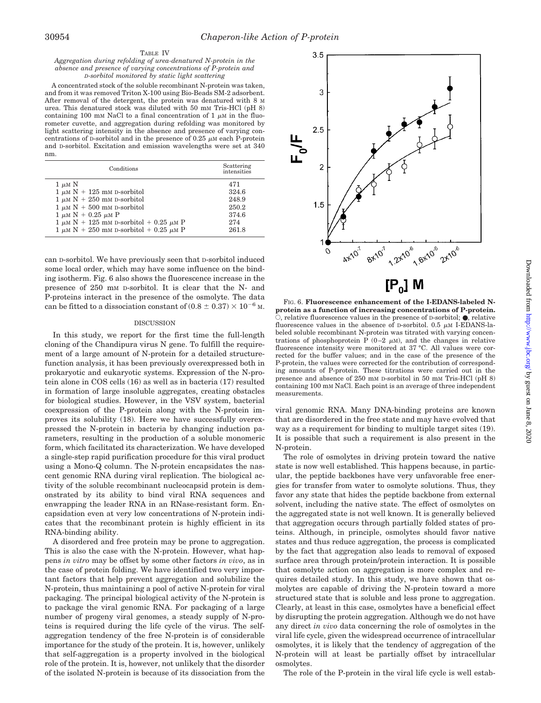### TABLE IV

#### *Aggregation during refolding of urea-denatured N-protein in the absence and presence of varying concentrations of P-protein and D-sorbitol monitored by static light scattering*

A concentrated stock of the soluble recombinant N-protein was taken, and from it was removed Triton X-100 using Bio-Beads SM-2 adsorbent. After removal of the detergent, the protein was denatured with 8 M urea. This denatured stock was diluted with 50 mM Tris-HCl (pH 8) containing 100 mm NaCl to a final concentration of 1  $\mu$ m in the fluorometer cuvette, and aggregation during refolding was monitored by light scattering intensity in the absence and presence of varying concentrations of D-sorbitol and in the presence of  $0.25 \mu$ M each P-protein and D-sorbitol. Excitation and emission wavelengths were set at 340 nm.

| Conditions                                       | Scattering<br>intensities |
|--------------------------------------------------|---------------------------|
| $1 \mu M N$                                      | 471                       |
| $1 \mu M N + 125$ mM D-sorbitol                  | 324.6                     |
| $1 \mu M N + 250$ mM D-sorbitol                  | 248.9                     |
| $1 \mu M N + 500$ mM D-sorbitol                  | 250.2                     |
| $1 \mu M N + 0.25 \mu M P$                       | 374.6                     |
| $1 \mu M N + 125$ mM D-sorbitol + 0.25 $\mu M$ P | 274                       |
| $1 \mu M N + 250$ mM D-sorbitol + 0.25 $\mu$ M P | 261.8                     |

can D-sorbitol. We have previously seen that D-sorbitol induced some local order, which may have some influence on the binding isotherm. Fig. 6 also shows the fluorescence increase in the presence of 250 mM D-sorbitol. It is clear that the N- and P-proteins interact in the presence of the osmolyte. The data can be fitted to a dissociation constant of  $(0.8 \pm 0.37) \times 10^{-6}$  M.

#### **DISCUSSION**

In this study, we report for the first time the full-length cloning of the Chandipura virus N gene. To fulfill the requirement of a large amount of N-protein for a detailed structurefunction analysis, it has been previously overexpressed both in prokaryotic and eukaryotic systems. Expression of the N-protein alone in COS cells (16) as well as in bacteria (17) resulted in formation of large insoluble aggregates, creating obstacles for biological studies. However, in the VSV system, bacterial coexpression of the P-protein along with the N-protein improves its solubility (18). Here we have successfully overexpressed the N-protein in bacteria by changing induction parameters, resulting in the production of a soluble monomeric form, which facilitated its characterization. We have developed a single-step rapid purification procedure for this viral product using a Mono-Q column. The N-protein encapsidates the nascent genomic RNA during viral replication. The biological activity of the soluble recombinant nucleocapsid protein is demonstrated by its ability to bind viral RNA sequences and enwrapping the leader RNA in an RNase-resistant form. Encapsidation even at very low concentrations of N-protein indicates that the recombinant protein is highly efficient in its RNA-binding ability.

A disordered and free protein may be prone to aggregation. This is also the case with the N-protein. However, what happens *in vitro* may be offset by some other factors *in vivo*, as in the case of protein folding. We have identified two very important factors that help prevent aggregation and solubilize the N-protein, thus maintaining a pool of active N-protein for viral packaging. The principal biological activity of the N-protein is to package the viral genomic RNA. For packaging of a large number of progeny viral genomes, a steady supply of N-proteins is required during the life cycle of the virus. The selfaggregation tendency of the free N-protein is of considerable importance for the study of the protein. It is, however, unlikely that self-aggregation is a property involved in the biological role of the protein. It is, however, not unlikely that the disorder of the isolated N-protein is because of its dissociation from the



 $[P_o]$  M

FIG. 6. **Fluorescence enhancement of the I-EDANS-labeled Nprotein as a function of increasing concentrations of P-protein.** E, relative fluorescence values in the presence of D-sorbitol; ●, relative fluorescence values in the absence of  $D$ -sorbitol. 0.5  $\mu$ M I-EDANS-labeled soluble recombinant N-protein was titrated with varying concentrations of phosphoprotein P  $(0-2 \mu M)$ , and the changes in relative fluorescence intensity were monitored at 37 °C. All values were corrected for the buffer values; and in the case of the presence of the P-protein, the values were corrected for the contribution of corresponding amounts of P-protein. These titrations were carried out in the presence and absence of 250 mM D-sorbitol in 50 mM Tris-HCl (pH 8) containing 100 mM NaCl. Each point is an average of three independent measurements.

viral genomic RNA. Many DNA-binding proteins are known that are disordered in the free state and may have evolved that way as a requirement for binding to multiple target sites (19). It is possible that such a requirement is also present in the N-protein.

The role of osmolytes in driving protein toward the native state is now well established. This happens because, in particular, the peptide backbones have very unfavorable free energies for transfer from water to osmolyte solutions. Thus, they favor any state that hides the peptide backbone from external solvent, including the native state. The effect of osmolytes on the aggregated state is not well known. It is generally believed that aggregation occurs through partially folded states of proteins. Although, in principle, osmolytes should favor native states and thus reduce aggregation, the process is complicated by the fact that aggregation also leads to removal of exposed surface area through protein/protein interaction. It is possible that osmolyte action on aggregation is more complex and requires detailed study. In this study, we have shown that osmolytes are capable of driving the N-protein toward a more structured state that is soluble and less prone to aggregation. Clearly, at least in this case, osmolytes have a beneficial effect by disrupting the protein aggregation. Although we do not have any direct *in vivo* data concerning the role of osmolytes in the viral life cycle, given the widespread occurrence of intracellular osmolytes, it is likely that the tendency of aggregation of the N-protein will at least be partially offset by intracellular osmolytes.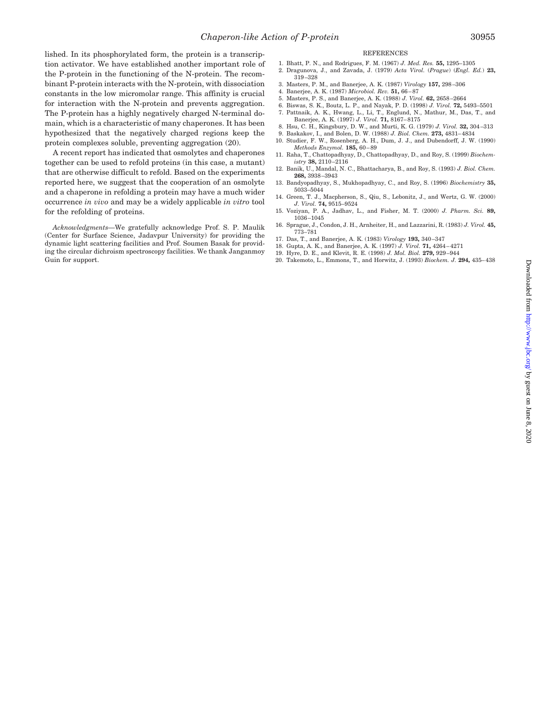lished. In its phosphorylated form, the protein is a transcription activator. We have established another important role of the P-protein in the functioning of the N-protein. The recombinant P-protein interacts with the N-protein, with dissociation constants in the low micromolar range. This affinity is crucial for interaction with the N-protein and prevents aggregation. The P-protein has a highly negatively charged N-terminal domain, which is a characteristic of many chaperones. It has been hypothesized that the negatively charged regions keep the protein complexes soluble, preventing aggregation (20).

A recent report has indicated that osmolytes and chaperones together can be used to refold proteins (in this case, a mutant) that are otherwise difficult to refold. Based on the experiments reported here, we suggest that the cooperation of an osmolyte and a chaperone in refolding a protein may have a much wider occurrence *in vivo* and may be a widely applicable *in vitro* tool for the refolding of proteins.

*Acknowledgments—*We gratefully acknowledge Prof. S. P. Maulik (Center for Surface Science, Jadavpur University) for providing the dynamic light scattering facilities and Prof. Soumen Basak for providing the circular dichroism spectroscopy facilities. We thank Janganmoy Guin for support.

- REFERENCES
- 1. Bhatt, P. N., and Rodrigues, F. M. (1967) *J. Med. Res.* **55,** 1295–1305 2. Dragunova, J., and Zavada, J. (1979) *Acta Virol.* (*Prague*) (*Engl. Ed.*) **23,**
- 319–328 3. Masters, P. M., and Banerjee, A. K. (1987) *Virology* **157,** 298–306
- 4. Banerjee, A. K. (1987) *Microbiol. Rev.* **51,** 66–87
- 5. Masters, P. S., and Banerjee, A. K. (1988) *J. Virol.* **62,** 2658–2664
- 6. Biswas, S. K., Boutz, L. P., and Nayak, P. D. (1998) *J. Virol.* **72,** 5493–5501
- 7. Pattnaik, A. K., Hwang, L., Li, T., Englund, N., Mathur, M., Das, T., and Banerjee, A. K. (1997) *J. Virol.* **71,** 8167–8175
- 8. Hsu, C. H., Kingsbury, D. W., and Murti, K. G. (1979) *J. Virol.* **32,** 304–313
- 9. Baskakov, I., and Bolen, D. W. (1988) *J. Biol. Chem.* **273,** 4831–4834 10. Studier, F. W., Rosenberg, A. H., Dum, J. J., and Dubendorff, J. W. (1990)
- *Methods Enzymol.* **185,** 60–89 11. Raha, T., Chattopadhyay, D., Chattopadhyay, D., and Roy, S. (1999) *Biochem-*
- *istry* **38,** 2110–2116 12. Banik, U., Mandal, N. C., Bhattacharya, B., and Roy, S. (1993) *J. Biol. Chem.*
- **268,** 3938–3943
- 13. Bandyopadhyay, S., Mukhopadhyay, C., and Roy, S. (1996) *Biochemistry* **35,** 5033–5044
- 14. Green, T. J., Macpherson, S., Qiu, S., Lebonitz, J., and Wertz, G. W. (2000) *J. Virol.* **74,** 9515–9524
- 15. Voziyan, P. A., Jadhav, L., and Fisher, M. T. (2000) *J. Pharm. Sci.* **89,** 1036–1045
- 16. Sprague, J., Condon, J. H., Arnheiter, H., and Lazzarini, R. (1983) *J. Virol.* **45,** 773–781
- 17. Das, T., and Banerjee, A. K. (1983) *Virology* **193,** 340–347
- 18. Gupta, A. K., and Banerjee, A. K. (1997) *J. Virol.* **71,** 4264–4271
- 19. Hyre, D. E., and Klevit, R. E. (1998) *J. Mol. Biol.* **279,** 929–944
- 20. Takemoto, L., Emmons, T., and Horwitz, J. (1993) *Biochem. J.* **294,** 435–438